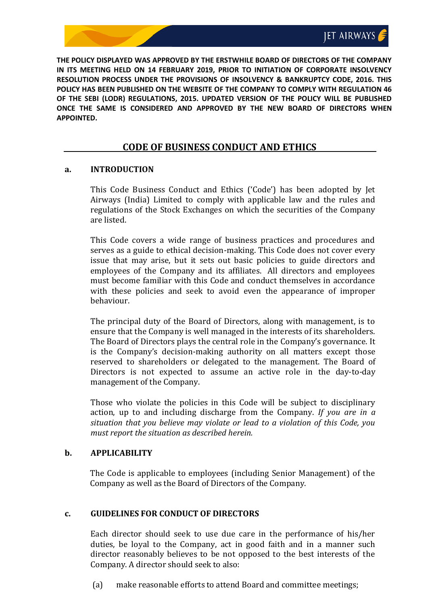**THE POLICY DISPLAYED WAS APPROVED BY THE ERSTWHILE BOARD OF DIRECTORS OF THE COMPANY IN ITS MEETING HELD ON 14 FEBRUARY 2019, PRIOR TO INITIATION OF CORPORATE INSOLVENCY RESOLUTION PROCESS UNDER THE PROVISIONS OF INSOLVENCY & BANKRUPTCY CODE, 2016. THIS POLICY HAS BEEN PUBLISHED ON THE WEBSITE OF THE COMPANY TO COMPLY WITH REGULATION 46 OF THE SEBI (LODR) REGULATIONS, 2015. UPDATED VERSION OF THE POLICY WILL BE PUBLISHED ONCE THE SAME IS CONSIDERED AND APPROVED BY THE NEW BOARD OF DIRECTORS WHEN APPOINTED.**

# **CODE OF BUSINESS CONDUCT AND ETHICS**

#### **a. INTRODUCTION**

This Code Business Conduct and Ethics ('Code') has been adopted by Jet Airways (India) Limited to comply with applicable law and the rules and regulations of the Stock Exchanges on which the securities of the Company are listed.

This Code covers a wide range of business practices and procedures and serves as a guide to ethical decision-making. This Code does not cover every issue that may arise, but it sets out basic policies to guide directors and employees of the Company and its affiliates. All directors and employees must become familiar with this Code and conduct themselves in accordance with these policies and seek to avoid even the appearance of improper behaviour.

The principal duty of the Board of Directors, along with management, is to ensure that the Company is well managed in the interests of its shareholders. The Board of Directors plays the central role in the Company's governance. It is the Company's decision-making authority on all matters except those reserved to shareholders or delegated to the management. The Board of Directors is not expected to assume an active role in the day-to-day management of the Company.

Those who violate the policies in this Code will be subject to disciplinary action, up to and including discharge from the Company. *If you are in a situation that you believe may violate or lead to a violation of this Code, you must report the situation as described herein.*

### **b. APPLICABILITY**

The Code is applicable to employees (including Senior Management) of the Company as well as the Board of Directors of the Company.

### **c. GUIDELINES FOR CONDUCT OF DIRECTORS**

Each director should seek to use due care in the performance of his/her duties, be loyal to the Company, act in good faith and in a manner such director reasonably believes to be not opposed to the best interests of the Company. A director should seek to also:

(a) make reasonable efforts to attend Board and committee meetings;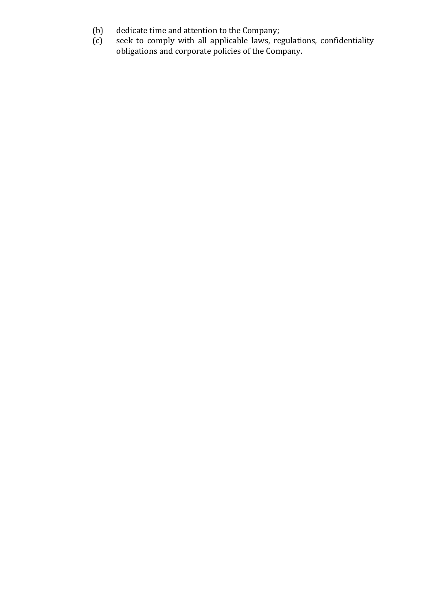- (b) dedicate time and attention to the Company;
- (c) seek to comply with all applicable laws, regulations, confidentiality obligations and corporate policies of the Company.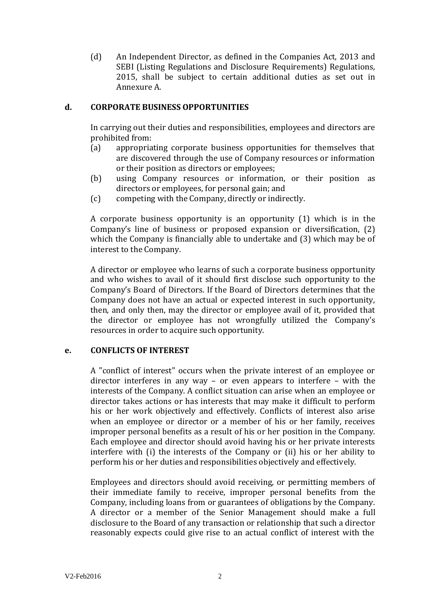(d) An Independent Director, as defined in the Companies Act, 2013 and SEBI (Listing Regulations and Disclosure Requirements) Regulations, 2015, shall be subject to certain additional duties as set out in Annexure A.

#### **d. CORPORATE BUSINESS OPPORTUNITIES**

In carrying out their duties and responsibilities, employees and directors are prohibited from:

- (a) appropriating corporate business opportunities for themselves that are discovered through the use of Company resources or information or their position as directors or employees;
- (b) using Company resources or information, or their position as directors or employees, for personal gain; and
- (c) competing with the Company, directly or indirectly.

A corporate business opportunity is an opportunity (1) which is in the Company's line of business or proposed expansion or diversification, (2) which the Company is financially able to undertake and (3) which may be of interest to the Company.

A director or employee who learns of such a corporate business opportunity and who wishes to avail of it should first disclose such opportunity to the Company's Board of Directors. If the Board of Directors determines that the Company does not have an actual or expected interest in such opportunity, then, and only then, may the director or employee avail of it, provided that the director or employee has not wrongfully utilized the Company's resources in order to acquire such opportunity.

### **e. CONFLICTS OF INTEREST**

A "conflict of interest" occurs when the private interest of an employee or director interferes in any way – or even appears to interfere – with the interests of the Company. A conflict situation can arise when an employee or director takes actions or has interests that may make it difficult to perform his or her work objectively and effectively. Conflicts of interest also arise when an employee or director or a member of his or her family, receives improper personal benefits as a result of his or her position in the Company. Each employee and director should avoid having his or her private interests interfere with (i) the interests of the Company or (ii) his or her ability to perform his or her duties and responsibilities objectively and effectively.

Employees and directors should avoid receiving, or permitting members of their immediate family to receive, improper personal benefits from the Company, including loans from or guarantees of obligations by the Company. A director or a member of the Senior Management should make a full disclosure to the Board of any transaction or relationship that such a director reasonably expects could give rise to an actual conflict of interest with the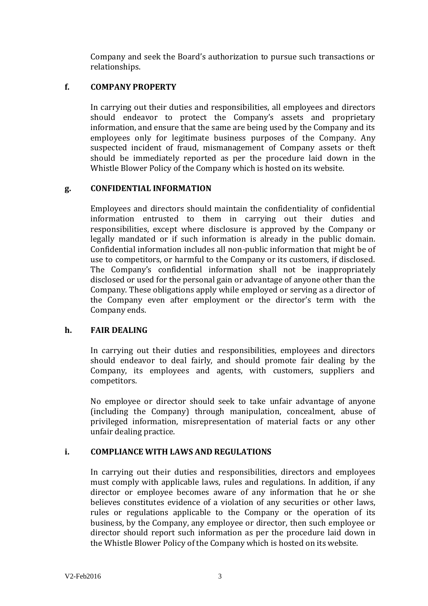Company and seek the Board's authorization to pursue such transactions or relationships.

#### **f. COMPANY PROPERTY**

In carrying out their duties and responsibilities, all employees and directors should endeavor to protect the Company's assets and proprietary information, and ensure that the same are being used by the Company and its employees only for legitimate business purposes of the Company. Any suspected incident of fraud, mismanagement of Company assets or theft should be immediately reported as per the procedure laid down in the Whistle Blower Policy of the Company which is hosted on its website.

### **g. CONFIDENTIAL INFORMATION**

Employees and directors should maintain the confidentiality of confidential information entrusted to them in carrying out their duties and responsibilities, except where disclosure is approved by the Company or legally mandated or if such information is already in the public domain. Confidential information includes all non-public information that might be of use to competitors, or harmful to the Company or its customers, if disclosed. The Company's confidential information shall not be inappropriately disclosed or used for the personal gain or advantage of anyone other than the Company. These obligations apply while employed or serving as a director of the Company even after employment or the director's term with the Company ends.

### **h. FAIR DEALING**

In carrying out their duties and responsibilities, employees and directors should endeavor to deal fairly, and should promote fair dealing by the Company, its employees and agents, with customers, suppliers and competitors.

No employee or director should seek to take unfair advantage of anyone (including the Company) through manipulation, concealment, abuse of privileged information, misrepresentation of material facts or any other unfair dealing practice.

### **i. COMPLIANCE WITH LAWS AND REGULATIONS**

In carrying out their duties and responsibilities, directors and employees must comply with applicable laws, rules and regulations. In addition, if any director or employee becomes aware of any information that he or she believes constitutes evidence of a violation of any securities or other laws, rules or regulations applicable to the Company or the operation of its business, by the Company, any employee or director, then such employee or director should report such information as per the procedure laid down in the Whistle Blower Policy of the Company which is hosted on its website.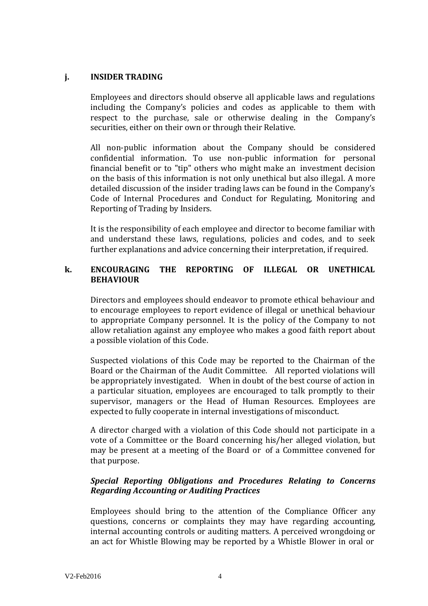### **j. INSIDER TRADING**

Employees and directors should observe all applicable laws and regulations including the Company's policies and codes as applicable to them with respect to the purchase, sale or otherwise dealing in the Company's securities, either on their own or through their Relative.

All non-public information about the Company should be considered confidential information. To use non-public information for personal financial benefit or to "tip" others who might make an investment decision on the basis of this information is not only unethical but also illegal. A more detailed discussion of the insider trading laws can be found in the Company's Code of Internal Procedures and Conduct for Regulating, Monitoring and Reporting of Trading by Insiders.

It is the responsibility of each employee and director to become familiar with and understand these laws, regulations, policies and codes, and to seek further explanations and advice concerning their interpretation, if required.

### **k. ENCOURAGING THE REPORTING OF ILLEGAL OR UNETHICAL BEHAVIOUR**

Directors and employees should endeavor to promote ethical behaviour and to encourage employees to report evidence of illegal or unethical behaviour to appropriate Company personnel. It is the policy of the Company to not allow retaliation against any employee who makes a good faith report about a possible violation of this Code.

Suspected violations of this Code may be reported to the Chairman of the Board or the Chairman of the Audit Committee. All reported violations will be appropriately investigated. When in doubt of the best course of action in a particular situation, employees are encouraged to talk promptly to their supervisor, managers or the Head of Human Resources. Employees are expected to fully cooperate in internal investigations of misconduct.

A director charged with a violation of this Code should not participate in a vote of a Committee or the Board concerning his/her alleged violation, but may be present at a meeting of the Board or of a Committee convened for that purpose.

## *Special Reporting Obligations and Procedures Relating to Concerns Regarding Accounting or Auditing Practices*

Employees should bring to the attention of the Compliance Officer any questions, concerns or complaints they may have regarding accounting, internal accounting controls or auditing matters. A perceived wrongdoing or an act for Whistle Blowing may be reported by a Whistle Blower in oral or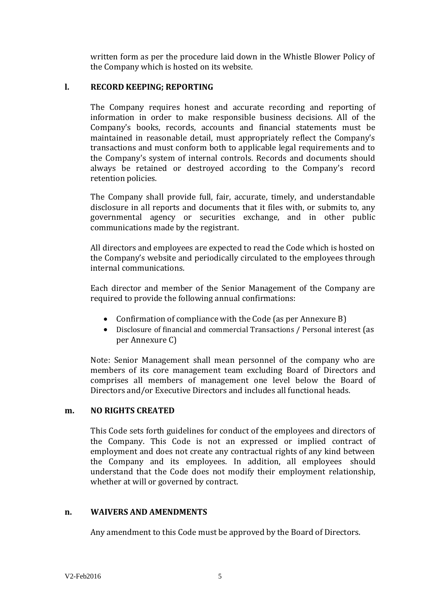written form as per the procedure laid down in the Whistle Blower Policy of the Company which is hosted on its website.

### **l. RECORD KEEPING; REPORTING**

The Company requires honest and accurate recording and reporting of information in order to make responsible business decisions. All of the Company's books, records, accounts and financial statements must be maintained in reasonable detail, must appropriately reflect the Company's transactions and must conform both to applicable legal requirements and to the Company's system of internal controls. Records and documents should always be retained or destroyed according to the Company's record retention policies.

The Company shall provide full, fair, accurate, timely, and understandable disclosure in all reports and documents that it files with, or submits to, any governmental agency or securities exchange, and in other public communications made by the registrant.

All directors and employees are expected to read the Code which is hosted on the Company's website and periodically circulated to the employees through internal communications.

Each director and member of the Senior Management of the Company are required to provide the following annual confirmations:

- Confirmation of compliance with the Code (as per Annexure B)
- Disclosure of financial and commercial Transactions / Personal interest (as per Annexure C)

Note: Senior Management shall mean personnel of the company who are members of its core management team excluding Board of Directors and comprises all members of management one level below the Board of Directors and/or Executive Directors and includes all functional heads.

### **m. NO RIGHTS CREATED**

This Code sets forth guidelines for conduct of the employees and directors of the Company. This Code is not an expressed or implied contract of employment and does not create any contractual rights of any kind between the Company and its employees. In addition, all employees should understand that the Code does not modify their employment relationship, whether at will or governed by contract.

### **n. WAIVERS AND AMENDMENTS**

Any amendment to this Code must be approved by the Board of Directors.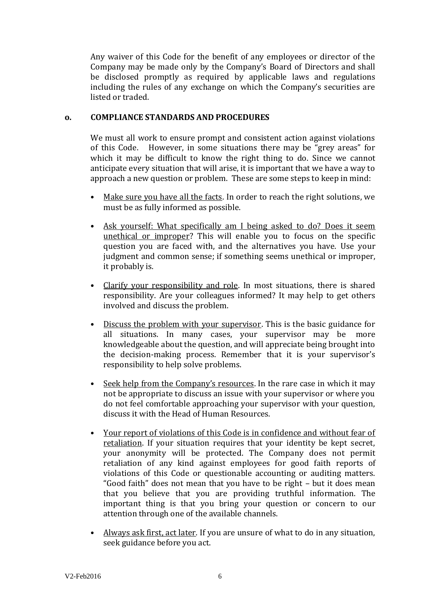Any waiver of this Code for the benefit of any employees or director of the Company may be made only by the Company's Board of Directors and shall be disclosed promptly as required by applicable laws and regulations including the rules of any exchange on which the Company's securities are listed or traded.

#### **o. COMPLIANCE STANDARDS AND PROCEDURES**

We must all work to ensure prompt and consistent action against violations of this Code. However, in some situations there may be "grey areas" for which it may be difficult to know the right thing to do. Since we cannot anticipate every situation that will arise, it is important that we have a way to approach a new question or problem. These are some steps to keep in mind:

- Make sure you have all the facts. In order to reach the right solutions, we must be as fully informed as possible.
- Ask yourself: What specifically am I being asked to do? Does it seem unethical or improper? This will enable you to focus on the specific question you are faced with, and the alternatives you have. Use your judgment and common sense; if something seems unethical or improper, it probably is.
- Clarify your responsibility and role. In most situations, there is shared responsibility. Are your colleagues informed? It may help to get others involved and discuss the problem.
- Discuss the problem with your supervisor. This is the basic guidance for all situations. In many cases, your supervisor may be more knowledgeable about the question, and will appreciate being brought into the decision-making process. Remember that it is your supervisor's responsibility to help solve problems.
- Seek help from the Company's resources. In the rare case in which it may not be appropriate to discuss an issue with your supervisor or where you do not feel comfortable approaching your supervisor with your question, discuss it with the Head of Human Resources.
- Your report of violations of this Code is in confidence and without fear of retaliation. If your situation requires that your identity be kept secret, your anonymity will be protected. The Company does not permit retaliation of any kind against employees for good faith reports of violations of this Code or questionable accounting or auditing matters. "Good faith" does not mean that you have to be right – but it does mean that you believe that you are providing truthful information. The important thing is that you bring your question or concern to our attention through one of the available channels.
- Always ask first, act later. If you are unsure of what to do in any situation, seek guidance before you act.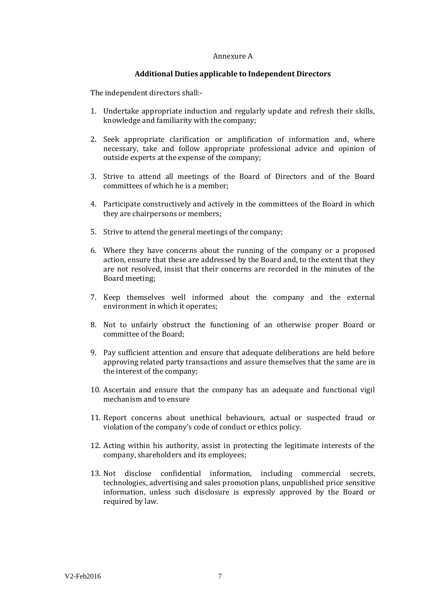#### Annexure A

#### **Additional Duties applicable to Independent Directors**

The independent directors shall:-

- 1. Undertake appropriate induction and regularly update and refresh their skills, knowledge and familiarity with the company;
- 2. Seek appropriate clarification or amplification of information and, where necessary, take and follow appropriate professional advice and opinion of outside experts at the expense of the company;
- 3. Strive to attend all meetings of the Board of Directors and of the Board committees of which he is a member;
- 4. Participate constructively and actively in the committees of the Board in which they are chairpersons or members;
- 5. Strive to attend the general meetings of the company;
- 6. Where they have concerns about the running of the company or a proposed action, ensure that these are addressed by the Board and, to the extent that they are not resolved, insist that their concerns are recorded in the minutes of the Board meeting;
- 7. Keep themselves well informed about the company and the external environment in which it operates;
- 8. Not to unfairly obstruct the functioning of an otherwise proper Board or committee of the Board;
- 9. Pay sufficient attention and ensure that adequate deliberations are held before approving related party transactions and assure themselves that the same are in the interest of the company;
- 10. Ascertain and ensure that the company has an adequate and functional vigil mechanism and to ensure
- 11. Report concerns about unethical behaviours, actual or suspected fraud or violation of the company's code of conduct or ethics policy.
- 12. Acting within his authority, assist in protecting the legitimate interests of the company, shareholders and its employees;
- 13. Not disclose confidential information, including commercial secrets, technologies, advertising and sales promotion plans, unpublished price sensitive information, unless such disclosure is expressly approved by the Board or required by law.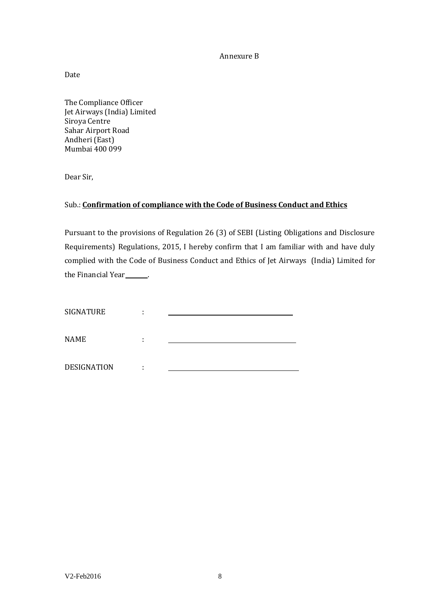Annexure B

Date

The Compliance Officer Jet Airways (India) Limited Siroya Centre Sahar Airport Road Andheri (East) Mumbai 400 099

Dear Sir,

### Sub.: **Confirmation of compliance with the Code of Business Conduct and Ethics**

Pursuant to the provisions of Regulation 26 (3) of SEBI (Listing Obligations and Disclosure Requirements) Regulations, 2015, I hereby confirm that I am familiar with and have duly complied with the Code of Business Conduct and Ethics of Jet Airways (India) Limited for the Financial Year\_\_\_\_\_\_.

| <b>SIGNATURE</b>   | ٠ |  |
|--------------------|---|--|
| <b>NAME</b>        | ٠ |  |
| <b>DESIGNATION</b> |   |  |